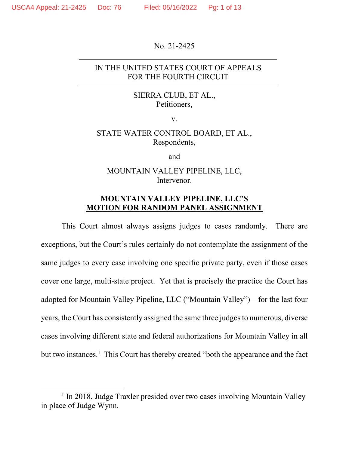No. 21-2425

### IN THE UNITED STATES COURT OF APPEALS FOR THE FOURTH CIRCUIT

#### SIERRA CLUB, ET AL., Petitioners,

v.

## STATE WATER CONTROL BOARD, ET AL., Respondents,

and

#### MOUNTAIN VALLEY PIPELINE, LLC, Intervenor.

## **MOUNTAIN VALLEY PIPELINE, LLC'S MOTION FOR RANDOM PANEL ASSIGNMENT**

This Court almost always assigns judges to cases randomly. There are exceptions, but the Court's rules certainly do not contemplate the assignment of the same judges to every case involving one specific private party, even if those cases cover one large, multi-state project. Yet that is precisely the practice the Court has adopted for Mountain Valley Pipeline, LLC ("Mountain Valley")—for the last four years, the Court has consistently assigned the same three judges to numerous, diverse cases involving different state and federal authorizations for Mountain Valley in all but two instances.<sup>1</sup> This Court has thereby created "both the appearance and the fact

<sup>&</sup>lt;sup>1</sup> In 2018, Judge Traxler presided over two cases involving Mountain Valley in place of Judge Wynn.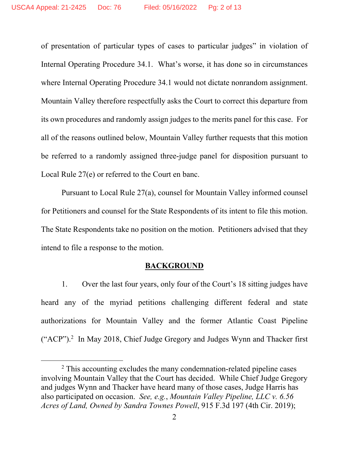of presentation of particular types of cases to particular judges" in violation of Internal Operating Procedure 34.1. What's worse, it has done so in circumstances where Internal Operating Procedure 34.1 would not dictate nonrandom assignment. Mountain Valley therefore respectfully asks the Court to correct this departure from its own procedures and randomly assign judges to the merits panel for this case. For all of the reasons outlined below, Mountain Valley further requests that this motion be referred to a randomly assigned three-judge panel for disposition pursuant to Local Rule 27(e) or referred to the Court en banc.

Pursuant to Local Rule 27(a), counsel for Mountain Valley informed counsel for Petitioners and counsel for the State Respondents of its intent to file this motion. The State Respondents take no position on the motion. Petitioners advised that they intend to file a response to the motion.

#### **BACKGROUND**

1. Over the last four years, only four of the Court's 18 sitting judges have heard any of the myriad petitions challenging different federal and state authorizations for Mountain Valley and the former Atlantic Coast Pipeline ("ACP").<sup>2</sup> In May 2018, Chief Judge Gregory and Judges Wynn and Thacker first

<sup>&</sup>lt;sup>2</sup> This accounting excludes the many condemnation-related pipeline cases involving Mountain Valley that the Court has decided. While Chief Judge Gregory and judges Wynn and Thacker have heard many of those cases, Judge Harris has also participated on occasion. *See, e.g.*, *Mountain Valley Pipeline, LLC v. 6.56 Acres of Land, Owned by Sandra Townes Powell*, 915 F.3d 197 (4th Cir. 2019);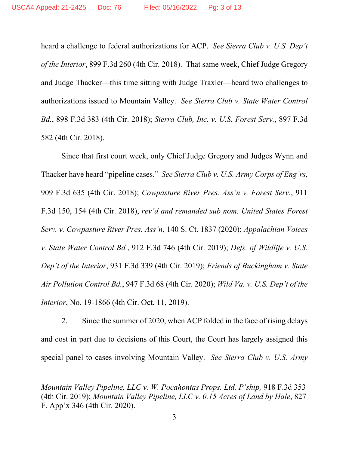heard a challenge to federal authorizations for ACP. *See Sierra Club v. U.S. Dep't of the Interior*, 899 F.3d 260 (4th Cir. 2018). That same week, Chief Judge Gregory and Judge Thacker—this time sitting with Judge Traxler—heard two challenges to authorizations issued to Mountain Valley. *See Sierra Club v. State Water Control Bd.*, 898 F.3d 383 (4th Cir. 2018); *Sierra Club, Inc. v. U.S. Forest Serv.*, 897 F.3d 582 (4th Cir. 2018).

Since that first court week, only Chief Judge Gregory and Judges Wynn and Thacker have heard "pipeline cases." *See Sierra Club v. U.S. Army Corps of Eng'rs*, 909 F.3d 635 (4th Cir. 2018); *Cowpasture River Pres. Ass'n v. Forest Serv.*, 911 F.3d 150, 154 (4th Cir. 2018), *rev'd and remanded sub nom. United States Forest Serv. v. Cowpasture River Pres. Ass'n*, 140 S. Ct. 1837 (2020); *Appalachian Voices v. State Water Control Bd.*, 912 F.3d 746 (4th Cir. 2019); *Defs. of Wildlife v. U.S. Dep't of the Interior*, 931 F.3d 339 (4th Cir. 2019); *Friends of Buckingham v. State Air Pollution Control Bd.*, 947 F.3d 68 (4th Cir. 2020); *Wild Va. v. U.S. Dep't of the Interior*, No. 19-1866 (4th Cir. Oct. 11, 2019).

2. Since the summer of 2020, when ACP folded in the face of rising delays and cost in part due to decisions of this Court, the Court has largely assigned this special panel to cases involving Mountain Valley. *See Sierra Club v. U.S. Army* 

*Mountain Valley Pipeline, LLC v. W. Pocahontas Props. Ltd. P'ship, 918 F.3d 353* (4th Cir. 2019); *Mountain Valley Pipeline, LLC v. 0.15 Acres of Land by Hale*, 827 F. App'x 346 (4th Cir. 2020).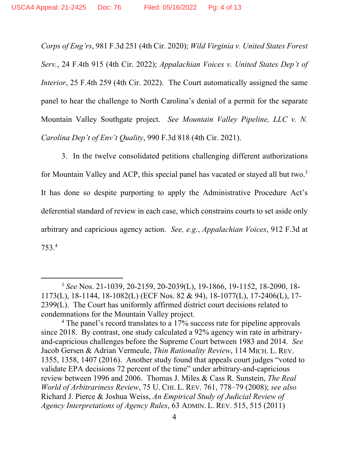*Corps of Eng'rs*, 981 F.3d 251 (4th Cir. 2020); *Wild Virginia v. United States Forest Serv.*, 24 F.4th 915 (4th Cir. 2022); *Appalachian Voices v. United States Dep't of Interior*, 25 F.4th 259 (4th Cir. 2022). The Court automatically assigned the same panel to hear the challenge to North Carolina's denial of a permit for the separate Mountain Valley Southgate project. *See Mountain Valley Pipeline, LLC v. N. Carolina Dep't of Env't Quality*, 990 F.3d 818 (4th Cir. 2021).

3. In the twelve consolidated petitions challenging different authorizations for Mountain Valley and ACP, this special panel has vacated or stayed all but two.<sup>3</sup> It has done so despite purporting to apply the Administrative Procedure Act's deferential standard of review in each case, which constrains courts to set aside only arbitrary and capricious agency action. *See, e.g.*, *Appalachian Voices*, 912 F.3d at 753.4

<sup>3</sup> *See* Nos. 21-1039, 20-2159, 20-2039(L), 19-1866, 19-1152, 18-2090, 18- 1173(L), 18-1144, 18-1082(L) (ECF Nos. 82 & 94), 18-1077(L), 17-2406(L), 17- 2399(L). The Court has uniformly affirmed district court decisions related to condemnations for the Mountain Valley project.

<sup>&</sup>lt;sup>4</sup> The panel's record translates to a 17% success rate for pipeline approvals since 2018. By contrast, one study calculated a 92% agency win rate in arbitraryand-capricious challenges before the Supreme Court between 1983 and 2014. *See*  Jacob Gersen & Adrian Vermeule, *Thin Rationality Review*, 114 MICH. L. REV. 1355, 1358, 1407 (2016). Another study found that appeals court judges "voted to validate EPA decisions 72 percent of the time" under arbitrary-and-capricious review between 1996 and 2006. Thomas J. Miles & Cass R. Sunstein, *The Real World of Arbitrariness Review*, 75 U. CHI. L. REV. 761, 778–79 (2008); *see also*  Richard J. Pierce & Joshua Weiss, *An Empirical Study of Judicial Review of Agency Interpretations of Agency Rules*, 63 ADMIN. L. REV. 515, 515 (2011)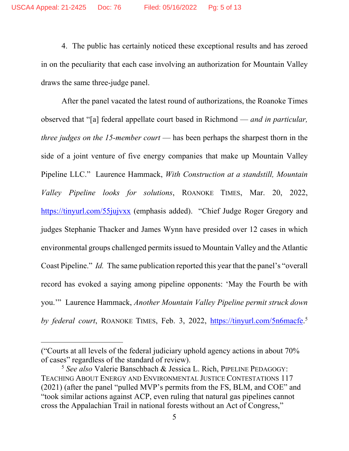4. The public has certainly noticed these exceptional results and has zeroed in on the peculiarity that each case involving an authorization for Mountain Valley draws the same three-judge panel.

After the panel vacated the latest round of authorizations, the Roanoke Times observed that "[a] federal appellate court based in Richmond — *and in particular, three judges on the 15-member court* — has been perhaps the sharpest thorn in the side of a joint venture of five energy companies that make up Mountain Valley Pipeline LLC." Laurence Hammack, *With Construction at a standstill, Mountain Valley Pipeline looks for solutions*, ROANOKE TIMES, Mar. 20, 2022, https://tinyurl.com/55jujvxx (emphasis added). "Chief Judge Roger Gregory and judges Stephanie Thacker and James Wynn have presided over 12 cases in which environmental groups challenged permits issued to Mountain Valley and the Atlantic Coast Pipeline." *Id.* The same publication reported this year that the panel's "overall record has evoked a saying among pipeline opponents: 'May the Fourth be with you.'" Laurence Hammack, *Another Mountain Valley Pipeline permit struck down*  by federal court, ROANOKE TIMES, Feb. 3, 2022, https://tinyurl.com/5n6macfe.<sup>5</sup>

<sup>(&</sup>quot;Courts at all levels of the federal judiciary uphold agency actions in about 70% of cases" regardless of the standard of review).

<sup>5</sup> *See also* Valerie Banschbach & Jessica L. Rich, PIPELINE PEDAGOGY: TEACHING ABOUT ENERGY AND ENVIRONMENTAL JUSTICE CONTESTATIONS 117 (2021) (after the panel "pulled MVP's permits from the FS, BLM, and COE" and "took similar actions against ACP, even ruling that natural gas pipelines cannot cross the Appalachian Trail in national forests without an Act of Congress,"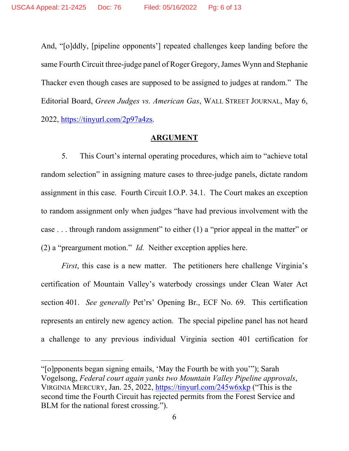And, "[o]ddly, [pipeline opponents'] repeated challenges keep landing before the same Fourth Circuit three-judge panel of Roger Gregory, James Wynn and Stephanie Thacker even though cases are supposed to be assigned to judges at random." The Editorial Board, *Green Judges vs. American Gas*, WALL STREET JOURNAL, May 6, 2022, https://tinyurl.com/2p97a4zs.

#### **ARGUMENT**

5. This Court's internal operating procedures, which aim to "achieve total random selection" in assigning mature cases to three-judge panels, dictate random assignment in this case.Fourth Circuit I.O.P. 34.1. The Court makes an exception to random assignment only when judges "have had previous involvement with the case . . . through random assignment" to either (1) a "prior appeal in the matter" or (2) a "preargument motion." *Id.* Neither exception applies here.

*First*, this case is a new matter. The petitioners here challenge Virginia's certification of Mountain Valley's waterbody crossings under Clean Water Act section 401. *See generally* Pet'rs' Opening Br., ECF No. 69. This certification represents an entirely new agency action. The special pipeline panel has not heard a challenge to any previous individual Virginia section 401 certification for

<sup>&</sup>quot;[o]pponents began signing emails, 'May the Fourth be with you'"); Sarah Vogelsong, *Federal court again yanks two Mountain Valley Pipeline approvals*, VIRGINIA MERCURY, Jan. 25, 2022, https://tinyurl.com/245w6xkp ("This is the second time the Fourth Circuit has rejected permits from the Forest Service and BLM for the national forest crossing.").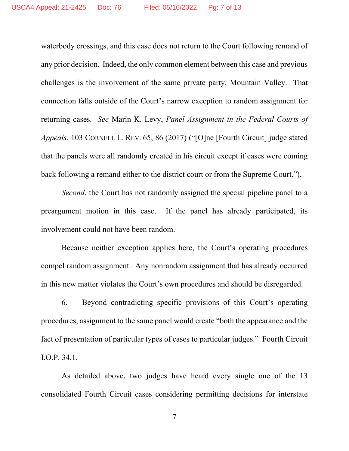waterbody crossings, and this case does not return to the Court following remand of any prior decision. Indeed, the only common element between this case and previous challenges is the involvement of the same private party, Mountain Valley. That connection falls outside of the Court's narrow exception to random assignment for returning cases. *See* Marin K. Levy, *Panel Assignment in the Federal Courts of Appeals*, 103 CORNELL L. REV. 65, 86 (2017) ("[O]ne [Fourth Circuit] judge stated that the panels were all randomly created in his circuit except if cases were coming back following a remand either to the district court or from the Supreme Court.").

*Second*, the Court has not randomly assigned the special pipeline panel to a preargument motion in this case. If the panel has already participated, its involvement could not have been random.

Because neither exception applies here, the Court's operating procedures compel random assignment. Any nonrandom assignment that has already occurred in this new matter violates the Court's own procedures and should be disregarded.

6. Beyond contradicting specific provisions of this Court's operating procedures, assignment to the same panel would create "both the appearance and the fact of presentation of particular types of cases to particular judges." Fourth Circuit I.O.P. 34.1.

As detailed above, two judges have heard every single one of the 13 consolidated Fourth Circuit cases considering permitting decisions for interstate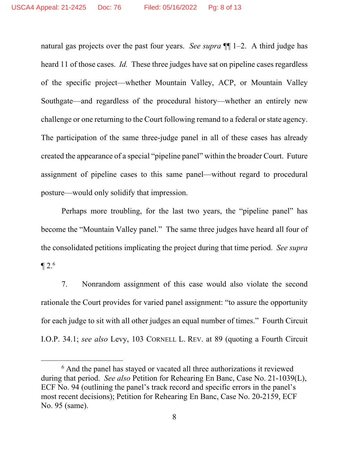natural gas projects over the past four years. *See supra* ¶¶ 1–2. A third judge has heard 11 of those cases. *Id.* These three judges have sat on pipeline cases regardless of the specific project—whether Mountain Valley, ACP, or Mountain Valley Southgate—and regardless of the procedural history—whether an entirely new challenge or one returning to the Court following remand to a federal or state agency. The participation of the same three-judge panel in all of these cases has already created the appearance of a special "pipeline panel" within the broader Court. Future assignment of pipeline cases to this same panel—without regard to procedural posture—would only solidify that impression.

Perhaps more troubling, for the last two years, the "pipeline panel" has become the "Mountain Valley panel." The same three judges have heard all four of the consolidated petitions implicating the project during that time period. *See supra*   $\P 2.6$ 

7. Nonrandom assignment of this case would also violate the second rationale the Court provides for varied panel assignment: "to assure the opportunity for each judge to sit with all other judges an equal number of times." Fourth Circuit I.O.P. 34.1; *see also* Levy, 103 CORNELL L. REV. at 89 (quoting a Fourth Circuit

<sup>&</sup>lt;sup>6</sup> And the panel has stayed or vacated all three authorizations it reviewed during that period. *See also* Petition for Rehearing En Banc, Case No. 21-1039(L), ECF No. 94 (outlining the panel's track record and specific errors in the panel's most recent decisions); Petition for Rehearing En Banc, Case No. 20-2159, ECF No. 95 (same).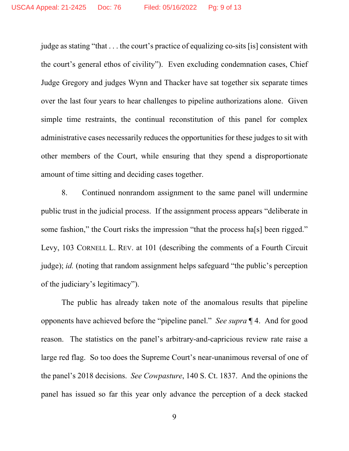judge as stating "that . . . the court's practice of equalizing co-sits [is] consistent with the court's general ethos of civility"). Even excluding condemnation cases, Chief Judge Gregory and judges Wynn and Thacker have sat together six separate times over the last four years to hear challenges to pipeline authorizations alone. Given simple time restraints, the continual reconstitution of this panel for complex administrative cases necessarily reduces the opportunities for these judges to sit with other members of the Court, while ensuring that they spend a disproportionate amount of time sitting and deciding cases together.

8. Continued nonrandom assignment to the same panel will undermine public trust in the judicial process. If the assignment process appears "deliberate in some fashion," the Court risks the impression "that the process ha<sup>[s]</sup> been rigged." Levy, 103 CORNELL L. REV. at 101 (describing the comments of a Fourth Circuit judge); *id.* (noting that random assignment helps safeguard "the public's perception of the judiciary's legitimacy").

The public has already taken note of the anomalous results that pipeline opponents have achieved before the "pipeline panel." *See supra* ¶ 4. And for good reason. The statistics on the panel's arbitrary-and-capricious review rate raise a large red flag. So too does the Supreme Court's near-unanimous reversal of one of the panel's 2018 decisions. *See Cowpasture*, 140 S. Ct. 1837. And the opinions the panel has issued so far this year only advance the perception of a deck stacked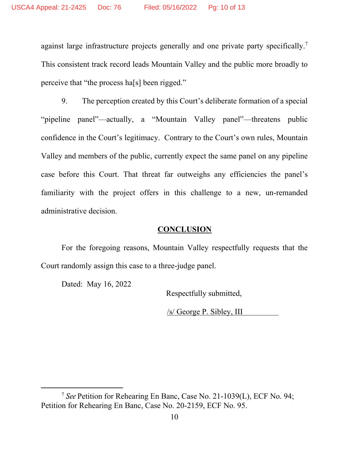against large infrastructure projects generally and one private party specifically.<sup>7</sup> This consistent track record leads Mountain Valley and the public more broadly to perceive that "the process ha[s] been rigged."

9. The perception created by this Court's deliberate formation of a special "pipeline panel"—actually, a "Mountain Valley panel"—threatens public confidence in the Court's legitimacy. Contrary to the Court's own rules, Mountain Valley and members of the public, currently expect the same panel on any pipeline case before this Court. That threat far outweighs any efficiencies the panel's familiarity with the project offers in this challenge to a new, un-remanded administrative decision.

## **CONCLUSION**

For the foregoing reasons, Mountain Valley respectfully requests that the Court randomly assign this case to a three-judge panel.

Dated: May 16, 2022

Respectfully submitted,

/s/ George P. Sibley, III

<sup>7</sup>*See* Petition for Rehearing En Banc, Case No. 21-1039(L), ECF No. 94; Petition for Rehearing En Banc, Case No. 20-2159, ECF No. 95.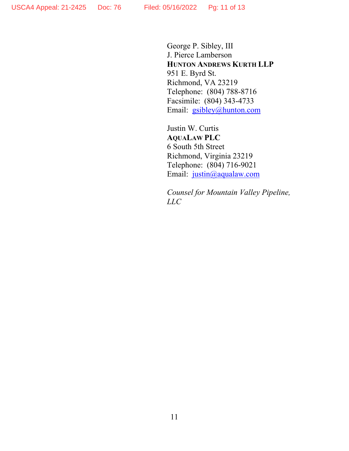George P. Sibley, III J. Pierce Lamberson **HUNTON ANDREWS KURTH LLP**  951 E. Byrd St. Richmond, VA 23219 Telephone: (804) 788-8716 Facsimile: (804) 343-4733 Email: gsibley@hunton.com

Justin W. Curtis **AQUALAW PLC**  6 South 5th Street Richmond, Virginia 23219 Telephone: (804) 716-9021 Email: justin@aqualaw.com

*Counsel for Mountain Valley Pipeline, LLC*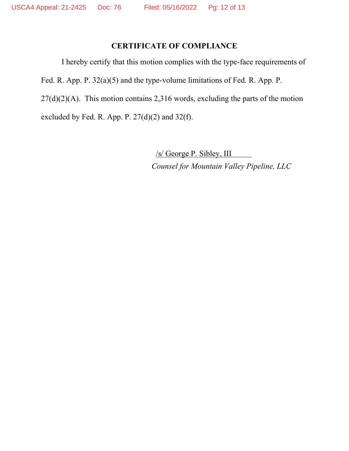# **CERTIFICATE OF COMPLIANCE**

I hereby certify that this motion complies with the type-face requirements of Fed. R. App. P. 32(a)(5) and the type-volume limitations of Fed. R. App. P.  $27(d)(2)(A)$ . This motion contains 2,316 words, excluding the parts of the motion excluded by Fed. R. App. P.  $27(d)(2)$  and  $32(f)$ .

> /s/ George P. Sibley, III  *Counsel for Mountain Valley Pipeline, LLC*